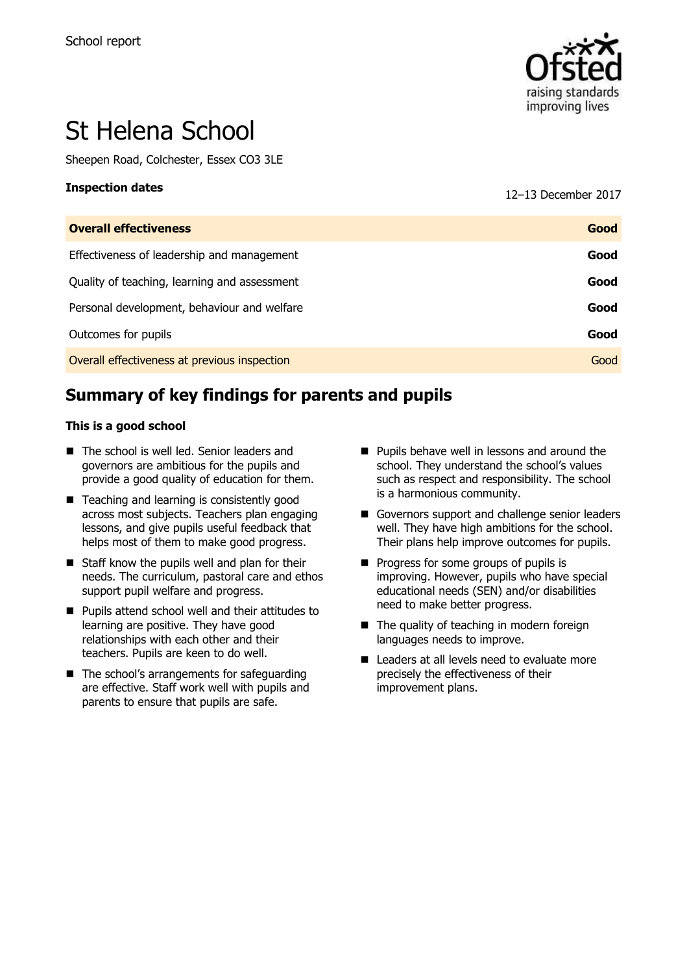

# St Helena School

Sheepen Road, Colchester, Essex CO3 3LE

**Inspection dates** <sup>12</sup>–<sup>13</sup> December 2017

| <b>Overall effectiveness</b>                 | Good |
|----------------------------------------------|------|
| Effectiveness of leadership and management   | Good |
| Quality of teaching, learning and assessment | Good |
| Personal development, behaviour and welfare  | Good |
| Outcomes for pupils                          | Good |
| Overall effectiveness at previous inspection | Good |

# **Summary of key findings for parents and pupils**

#### **This is a good school**

- The school is well led. Senior leaders and governors are ambitious for the pupils and provide a good quality of education for them.
- Teaching and learning is consistently good across most subjects. Teachers plan engaging lessons, and give pupils useful feedback that helps most of them to make good progress.
- $\blacksquare$  Staff know the pupils well and plan for their needs. The curriculum, pastoral care and ethos support pupil welfare and progress.
- **Pupils attend school well and their attitudes to** learning are positive. They have good relationships with each other and their teachers. Pupils are keen to do well.
- The school's arrangements for safeguarding are effective. Staff work well with pupils and parents to ensure that pupils are safe.
- **Pupils behave well in lessons and around the** school. They understand the school's values such as respect and responsibility. The school is a harmonious community.
- Governors support and challenge senior leaders well. They have high ambitions for the school. Their plans help improve outcomes for pupils.
- **Progress for some groups of pupils is** improving. However, pupils who have special educational needs (SEN) and/or disabilities need to make better progress.
- The quality of teaching in modern foreign languages needs to improve.
- Leaders at all levels need to evaluate more precisely the effectiveness of their improvement plans.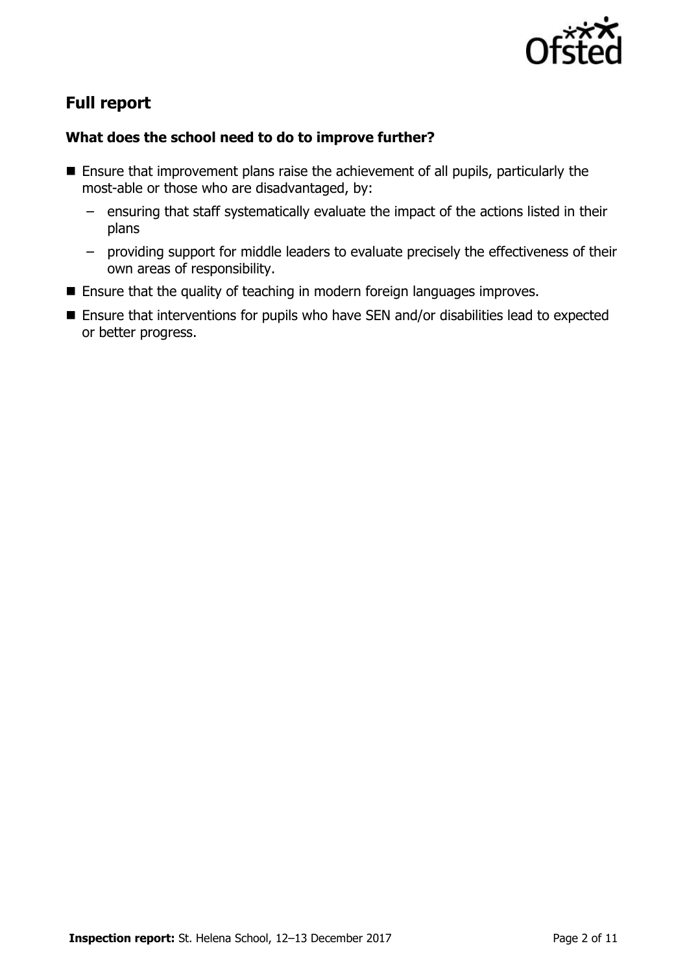

# **Full report**

### **What does the school need to do to improve further?**

- Ensure that improvement plans raise the achievement of all pupils, particularly the most-able or those who are disadvantaged, by:
	- ensuring that staff systematically evaluate the impact of the actions listed in their plans
	- providing support for middle leaders to evaluate precisely the effectiveness of their own areas of responsibility.
- Ensure that the quality of teaching in modern foreign languages improves.
- Ensure that interventions for pupils who have SEN and/or disabilities lead to expected or better progress.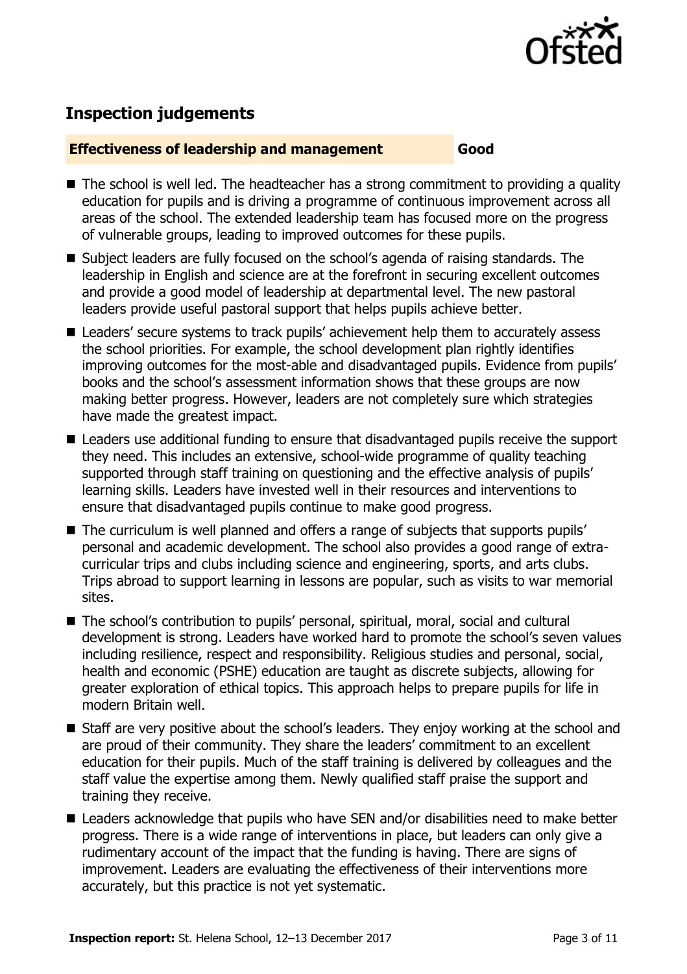

## **Inspection judgements**

#### **Effectiveness of leadership and management Good**

- The school is well led. The headteacher has a strong commitment to providing a quality education for pupils and is driving a programme of continuous improvement across all areas of the school. The extended leadership team has focused more on the progress of vulnerable groups, leading to improved outcomes for these pupils.
- $\blacksquare$  Subject leaders are fully focused on the school's agenda of raising standards. The leadership in English and science are at the forefront in securing excellent outcomes and provide a good model of leadership at departmental level. The new pastoral leaders provide useful pastoral support that helps pupils achieve better.
- Leaders' secure systems to track pupils' achievement help them to accurately assess the school priorities. For example, the school development plan rightly identifies improving outcomes for the most-able and disadvantaged pupils. Evidence from pupils' books and the school's assessment information shows that these groups are now making better progress. However, leaders are not completely sure which strategies have made the greatest impact.
- Leaders use additional funding to ensure that disadvantaged pupils receive the support they need. This includes an extensive, school-wide programme of quality teaching supported through staff training on questioning and the effective analysis of pupils' learning skills. Leaders have invested well in their resources and interventions to ensure that disadvantaged pupils continue to make good progress.
- The curriculum is well planned and offers a range of subjects that supports pupils' personal and academic development. The school also provides a good range of extracurricular trips and clubs including science and engineering, sports, and arts clubs. Trips abroad to support learning in lessons are popular, such as visits to war memorial sites.
- The school's contribution to pupils' personal, spiritual, moral, social and cultural development is strong. Leaders have worked hard to promote the school's seven values including resilience, respect and responsibility. Religious studies and personal, social, health and economic (PSHE) education are taught as discrete subjects, allowing for greater exploration of ethical topics. This approach helps to prepare pupils for life in modern Britain well.
- Staff are very positive about the school's leaders. They enjoy working at the school and are proud of their community. They share the leaders' commitment to an excellent education for their pupils. Much of the staff training is delivered by colleagues and the staff value the expertise among them. Newly qualified staff praise the support and training they receive.
- Leaders acknowledge that pupils who have SEN and/or disabilities need to make better progress. There is a wide range of interventions in place, but leaders can only give a rudimentary account of the impact that the funding is having. There are signs of improvement. Leaders are evaluating the effectiveness of their interventions more accurately, but this practice is not yet systematic.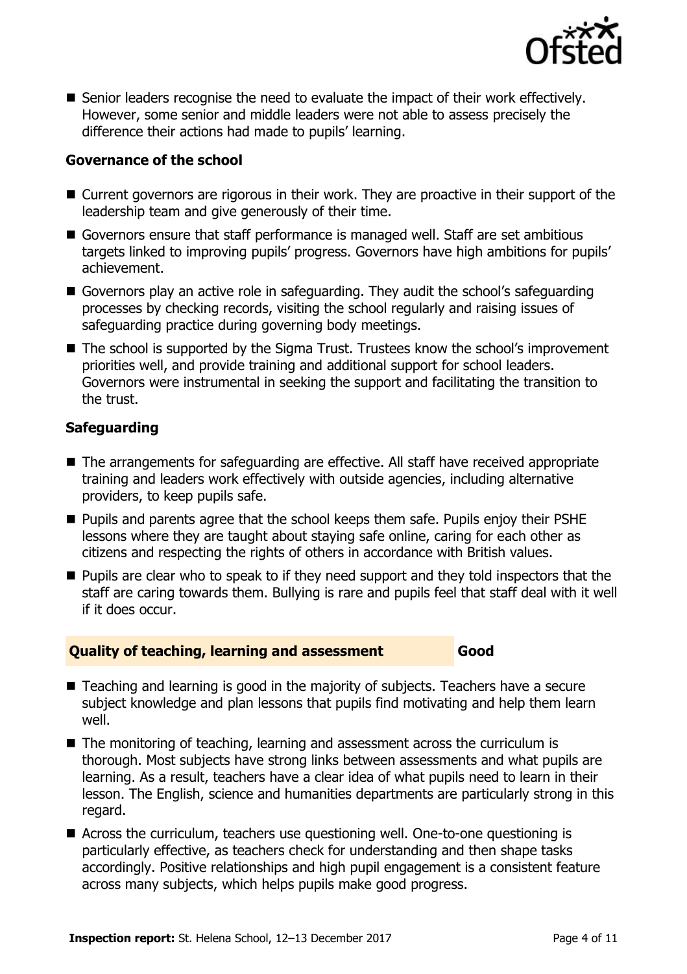

■ Senior leaders recognise the need to evaluate the impact of their work effectively. However, some senior and middle leaders were not able to assess precisely the difference their actions had made to pupils' learning.

#### **Governance of the school**

- Current governors are rigorous in their work. They are proactive in their support of the leadership team and give generously of their time.
- Governors ensure that staff performance is managed well. Staff are set ambitious targets linked to improving pupils' progress. Governors have high ambitions for pupils' achievement.
- Governors play an active role in safeguarding. They audit the school's safeguarding processes by checking records, visiting the school regularly and raising issues of safeguarding practice during governing body meetings.
- The school is supported by the Sigma Trust. Trustees know the school's improvement priorities well, and provide training and additional support for school leaders. Governors were instrumental in seeking the support and facilitating the transition to the trust.

#### **Safeguarding**

- The arrangements for safeguarding are effective. All staff have received appropriate training and leaders work effectively with outside agencies, including alternative providers, to keep pupils safe.
- **Pupils and parents agree that the school keeps them safe. Pupils enjoy their PSHE** lessons where they are taught about staying safe online, caring for each other as citizens and respecting the rights of others in accordance with British values.
- **Pupils are clear who to speak to if they need support and they told inspectors that the** staff are caring towards them. Bullying is rare and pupils feel that staff deal with it well if it does occur.

#### **Quality of teaching, learning and assessment Good**

- Teaching and learning is good in the majority of subjects. Teachers have a secure subject knowledge and plan lessons that pupils find motivating and help them learn well.
- The monitoring of teaching, learning and assessment across the curriculum is thorough. Most subjects have strong links between assessments and what pupils are learning. As a result, teachers have a clear idea of what pupils need to learn in their lesson. The English, science and humanities departments are particularly strong in this regard.
- Across the curriculum, teachers use questioning well. One-to-one questioning is particularly effective, as teachers check for understanding and then shape tasks accordingly. Positive relationships and high pupil engagement is a consistent feature across many subjects, which helps pupils make good progress.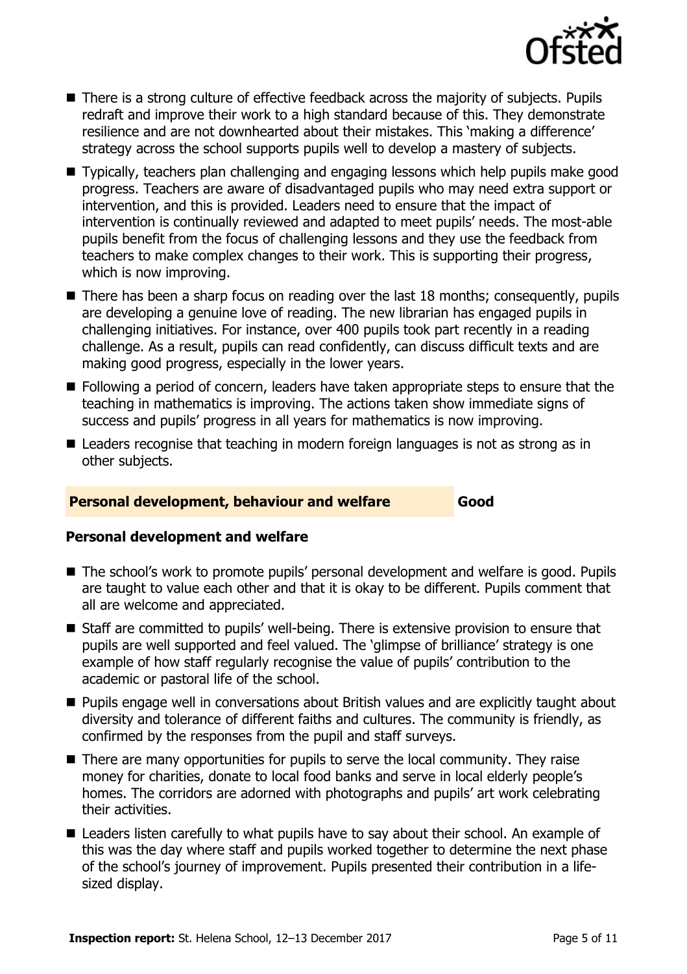

- There is a strong culture of effective feedback across the majority of subjects. Pupils redraft and improve their work to a high standard because of this. They demonstrate resilience and are not downhearted about their mistakes. This 'making a difference' strategy across the school supports pupils well to develop a mastery of subjects.
- Typically, teachers plan challenging and engaging lessons which help pupils make good progress. Teachers are aware of disadvantaged pupils who may need extra support or intervention, and this is provided. Leaders need to ensure that the impact of intervention is continually reviewed and adapted to meet pupils' needs. The most-able pupils benefit from the focus of challenging lessons and they use the feedback from teachers to make complex changes to their work. This is supporting their progress, which is now improving.
- $\blacksquare$  There has been a sharp focus on reading over the last 18 months; consequently, pupils are developing a genuine love of reading. The new librarian has engaged pupils in challenging initiatives. For instance, over 400 pupils took part recently in a reading challenge. As a result, pupils can read confidently, can discuss difficult texts and are making good progress, especially in the lower years.
- **Following a period of concern, leaders have taken appropriate steps to ensure that the** teaching in mathematics is improving. The actions taken show immediate signs of success and pupils' progress in all years for mathematics is now improving.
- Leaders recognise that teaching in modern foreign languages is not as strong as in other subjects.

#### **Personal development, behaviour and welfare Good**

#### **Personal development and welfare**

- The school's work to promote pupils' personal development and welfare is good. Pupils are taught to value each other and that it is okay to be different. Pupils comment that all are welcome and appreciated.
- Staff are committed to pupils' well-being. There is extensive provision to ensure that pupils are well supported and feel valued. The 'glimpse of brilliance' strategy is one example of how staff regularly recognise the value of pupils' contribution to the academic or pastoral life of the school.
- **Pupils engage well in conversations about British values and are explicitly taught about** diversity and tolerance of different faiths and cultures. The community is friendly, as confirmed by the responses from the pupil and staff surveys.
- There are many opportunities for pupils to serve the local community. They raise money for charities, donate to local food banks and serve in local elderly people's homes. The corridors are adorned with photographs and pupils' art work celebrating their activities.
- Leaders listen carefully to what pupils have to say about their school. An example of this was the day where staff and pupils worked together to determine the next phase of the school's journey of improvement. Pupils presented their contribution in a lifesized display.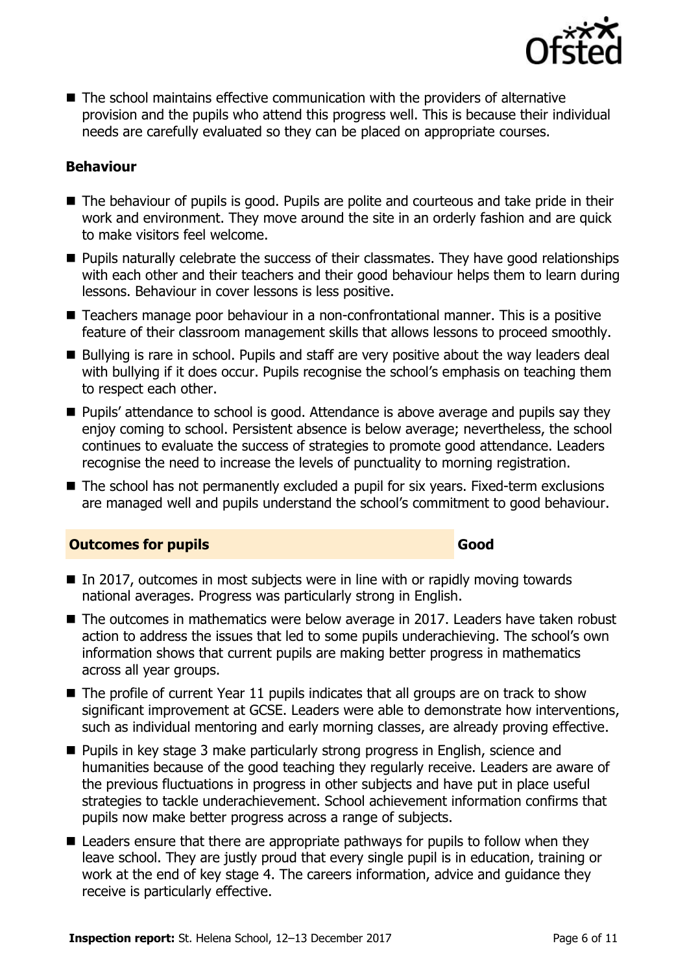

 $\blacksquare$  The school maintains effective communication with the providers of alternative provision and the pupils who attend this progress well. This is because their individual needs are carefully evaluated so they can be placed on appropriate courses.

#### **Behaviour**

- The behaviour of pupils is good. Pupils are polite and courteous and take pride in their work and environment. They move around the site in an orderly fashion and are quick to make visitors feel welcome.
- Pupils naturally celebrate the success of their classmates. They have good relationships with each other and their teachers and their good behaviour helps them to learn during lessons. Behaviour in cover lessons is less positive.
- Teachers manage poor behaviour in a non-confrontational manner. This is a positive feature of their classroom management skills that allows lessons to proceed smoothly.
- Bullying is rare in school. Pupils and staff are very positive about the way leaders deal with bullying if it does occur. Pupils recognise the school's emphasis on teaching them to respect each other.
- **Pupils'** attendance to school is good. Attendance is above average and pupils say they enjoy coming to school. Persistent absence is below average; nevertheless, the school continues to evaluate the success of strategies to promote good attendance. Leaders recognise the need to increase the levels of punctuality to morning registration.
- The school has not permanently excluded a pupil for six years. Fixed-term exclusions are managed well and pupils understand the school's commitment to good behaviour.

#### **Outcomes for pupils Good**

- $\blacksquare$  In 2017, outcomes in most subjects were in line with or rapidly moving towards national averages. Progress was particularly strong in English.
- The outcomes in mathematics were below average in 2017. Leaders have taken robust action to address the issues that led to some pupils underachieving. The school's own information shows that current pupils are making better progress in mathematics across all year groups.
- $\blacksquare$  The profile of current Year 11 pupils indicates that all groups are on track to show significant improvement at GCSE. Leaders were able to demonstrate how interventions, such as individual mentoring and early morning classes, are already proving effective.
- Pupils in key stage 3 make particularly strong progress in English, science and humanities because of the good teaching they regularly receive. Leaders are aware of the previous fluctuations in progress in other subjects and have put in place useful strategies to tackle underachievement. School achievement information confirms that pupils now make better progress across a range of subjects.
- Leaders ensure that there are appropriate pathways for pupils to follow when they leave school. They are justly proud that every single pupil is in education, training or work at the end of key stage 4. The careers information, advice and guidance they receive is particularly effective.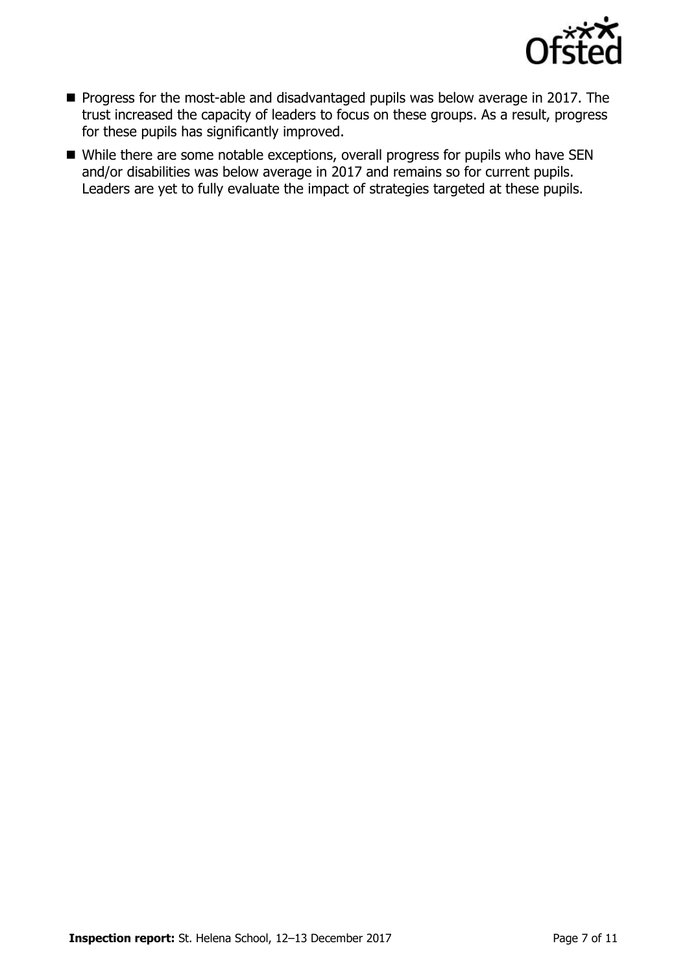

- **Progress for the most-able and disadvantaged pupils was below average in 2017. The** trust increased the capacity of leaders to focus on these groups. As a result, progress for these pupils has significantly improved.
- While there are some notable exceptions, overall progress for pupils who have SEN and/or disabilities was below average in 2017 and remains so for current pupils. Leaders are yet to fully evaluate the impact of strategies targeted at these pupils.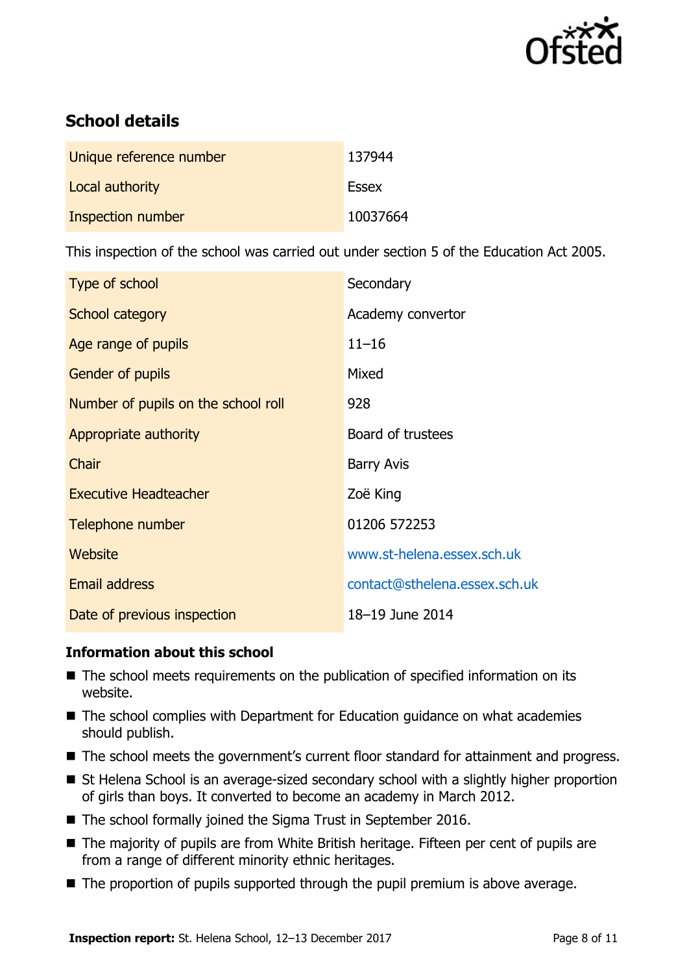

# **School details**

| Unique reference number | 137944       |
|-------------------------|--------------|
| Local authority         | <b>Essex</b> |
| Inspection number       | 10037664     |

This inspection of the school was carried out under section 5 of the Education Act 2005.

| Type of school                      | Secondary                     |
|-------------------------------------|-------------------------------|
| School category                     | Academy convertor             |
| Age range of pupils                 | $11 - 16$                     |
| <b>Gender of pupils</b>             | Mixed                         |
| Number of pupils on the school roll | 928                           |
| Appropriate authority               | Board of trustees             |
| Chair                               | <b>Barry Avis</b>             |
| <b>Executive Headteacher</b>        | Zoë King                      |
| Telephone number                    | 01206 572253                  |
| Website                             | www.st-helena.essex.sch.uk    |
| <b>Email address</b>                | contact@sthelena.essex.sch.uk |
| Date of previous inspection         | 18-19 June 2014               |

#### **Information about this school**

- The school meets requirements on the publication of specified information on its website.
- The school complies with Department for Education guidance on what academies should publish.
- The school meets the government's current floor standard for attainment and progress.
- St Helena School is an average-sized secondary school with a slightly higher proportion of girls than boys. It converted to become an academy in March 2012.
- The school formally joined the Sigma Trust in September 2016.
- The majority of pupils are from White British heritage. Fifteen per cent of pupils are from a range of different minority ethnic heritages.
- The proportion of pupils supported through the pupil premium is above average.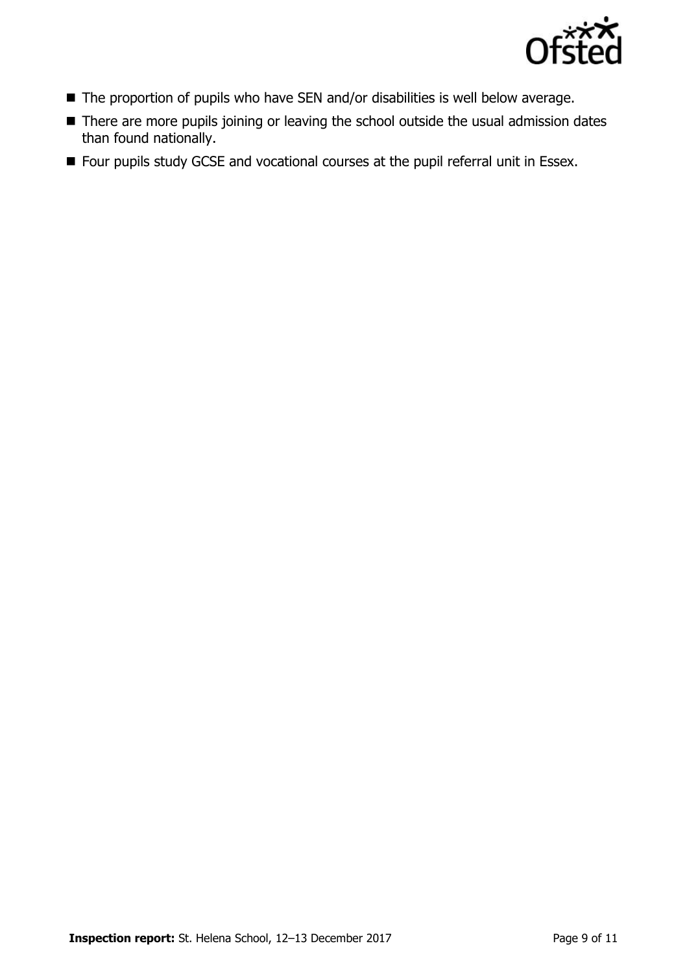

- The proportion of pupils who have SEN and/or disabilities is well below average.
- There are more pupils joining or leaving the school outside the usual admission dates than found nationally.
- **Four pupils study GCSE and vocational courses at the pupil referral unit in Essex.**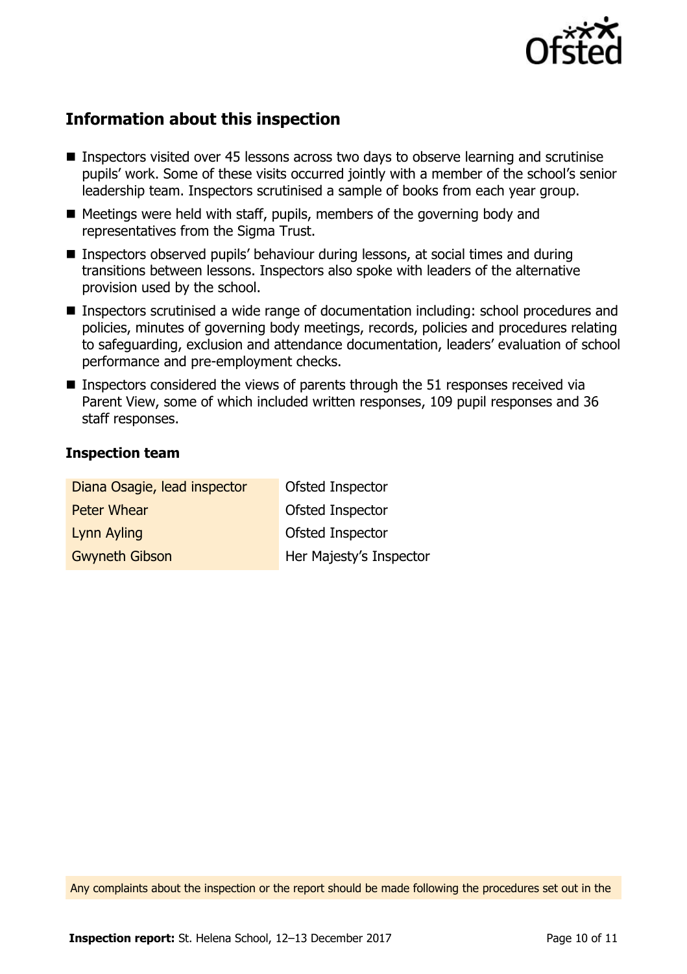

# **Information about this inspection**

- Inspectors visited over 45 lessons across two days to observe learning and scrutinise pupils' work. Some of these visits occurred jointly with a member of the school's senior leadership team. Inspectors scrutinised a sample of books from each year group.
- $\blacksquare$  Meetings were held with staff, pupils, members of the governing body and representatives from the Sigma Trust.
- Inspectors observed pupils' behaviour during lessons, at social times and during transitions between lessons. Inspectors also spoke with leaders of the alternative provision used by the school.
- Inspectors scrutinised a wide range of documentation including: school procedures and policies, minutes of governing body meetings, records, policies and procedures relating to safeguarding, exclusion and attendance documentation, leaders' evaluation of school performance and pre-employment checks.
- **Inspectors considered the views of parents through the 51 responses received via** Parent View, some of which included written responses, 109 pupil responses and 36 staff responses.

#### **Inspection team**

| Diana Osagie, lead inspector | Ofsted Inspector        |
|------------------------------|-------------------------|
| <b>Peter Whear</b>           | Ofsted Inspector        |
| Lynn Ayling                  | Ofsted Inspector        |
| <b>Gwyneth Gibson</b>        | Her Majesty's Inspector |

Any complaints about the inspection or the report should be made following the procedures set out in the